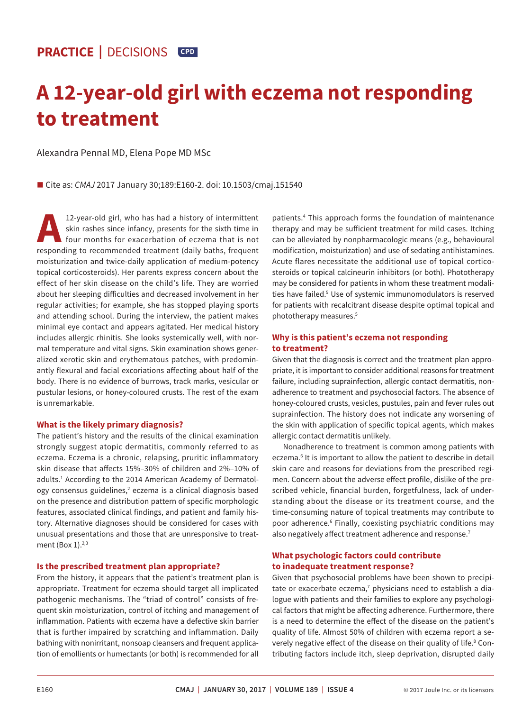# **A 12-year-old girl with eczema not responding to treatment**

Alexandra Pennal MD, Elena Pope MD MSc

■ Cite as: *CMAJ* 2017 January 30;189:E160-2. doi: 10.1503/cmaj.151540

12-year-old girl, who has had a history of intermittent<br>skin rashes since infancy, presents for the sixth time in<br>four months for exacerbation of eczema that is not<br>responding to recommended treatment (daily baths frequent skin rashes since infancy, presents for the sixth time in four months for exacerbation of eczema that is not responding to recommended treatment (daily baths, frequent moisturization and twice-daily application of medium-potency topical corticosteroids). Her parents express concern about the effect of her skin disease on the child's life. They are worried about her sleeping difficulties and decreased involvement in her regular activities; for example, she has stopped playing sports and attending school. During the interview, the patient makes minimal eye contact and appears agitated. Her medical history includes allergic rhinitis. She looks systemically well, with normal temperature and vital signs. Skin examination shows generalized xerotic skin and erythematous patches, with predominantly flexural and facial excoriations affecting about half of the body. There is no evidence of burrows, track marks, vesicular or pustular lesions, or honey-coloured crusts. The rest of the exam is unremarkable.

# **What is the likely primary diagnosis?**

The patient's history and the results of the clinical examination strongly suggest atopic dermatitis, commonly referred to as eczema. Eczema is a chronic, relapsing, pruritic inflammatory skin disease that affects 15%–30% of children and 2%–10% of adults.<sup>1</sup> According to the 2014 American Academy of Dermatology consensus guidelines,<sup>2</sup> eczema is a clinical diagnosis based on the presence and distribution pattern of specific morphologic features, associated clinical findings, and patient and family history. Alternative diagnoses should be considered for cases with unusual presentations and those that are unresponsive to treatment (Box  $1$ ).<sup>2,3</sup>

# **Is the prescribed treatment plan appropriate?**

From the history, it appears that the patient's treatment plan is appropriate. Treatment for eczema should target all implicated pathogenic mechanisms. The "triad of control" consists of frequent skin moisturization, control of itching and management of inflammation. Patients with eczema have a defective skin barrier that is further impaired by scratching and inflammation. Daily bathing with nonirritant, nonsoap cleansers and frequent application of emollients or humectants (or both) is recommended for all patients.4 This approach forms the foundation of maintenance therapy and may be sufficient treatment for mild cases. Itching can be alleviated by nonpharmacologic means (e.g., behavioural modification, moisturization) and use of sedating antihistamines. Acute flares necessitate the additional use of topical corticosteroids or topical calcineurin inhibitors (or both). Phototherapy may be considered for patients in whom these treatment modalities have failed.<sup>5</sup> Use of systemic immunomodulators is reserved for patients with recalcitrant disease despite optimal topical and phototherapy measures.5

# **Why is this patient's eczema not responding to treatment?**

Given that the diagnosis is correct and the treatment plan appropriate, it is important to consider additional reasons for treatment failure, including suprainfection, allergic contact dermatitis, nonadherence to treatment and psychosocial factors. The absence of honey-coloured crusts, vesicles, pustules, pain and fever rules out suprainfection. The history does not indicate any worsening of the skin with application of specific topical agents, which makes allergic contact dermatitis unlikely.

Nonadherence to treatment is common among patients with eczema.<sup>6</sup> It is important to allow the patient to describe in detail skin care and reasons for deviations from the prescribed regimen. Concern about the adverse effect profile, dislike of the prescribed vehicle, financial burden, forgetfulness, lack of understanding about the disease or its treatment course, and the time-consuming nature of topical treatments may contribute to poor adherence.<sup>6</sup> Finally, coexisting psychiatric conditions may also negatively affect treatment adherence and response.<sup>7</sup>

# **What psychologic factors could contribute to inadequate treatment response?**

Given that psychosocial problems have been shown to precipitate or exacerbate eczema,<sup>7</sup> physicians need to establish a dialogue with patients and their families to explore any psychological factors that might be affecting adherence. Furthermore, there is a need to determine the effect of the disease on the patient's quality of life. Almost 50% of children with eczema report a severely negative effect of the disease on their quality of life.8 Contributing factors include itch, sleep deprivation, disrupted daily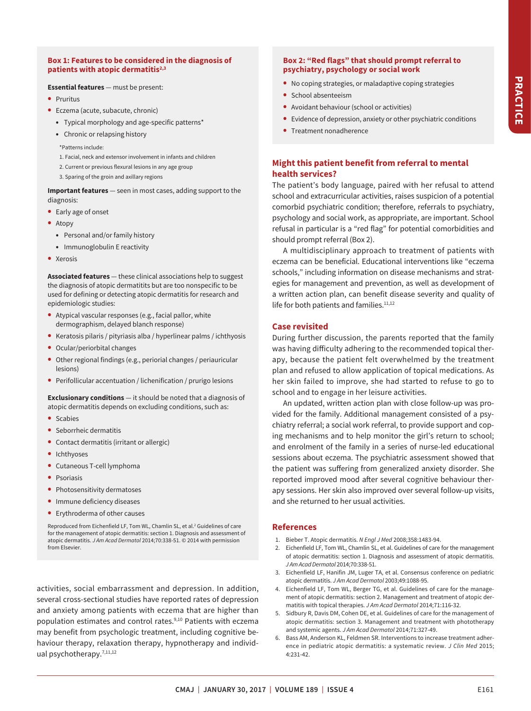## **Box 1: Features to be considered in the diagnosis of patients with atopic dermatitis2,3**

#### **Essential features** — must be present:

- **•** Pruritus
- **•** Eczema (acute, subacute, chronic)
	- **•** Typical morphology and age-specific patterns\*
	- **•** Chronic or relapsing history

\*Patterns include:

- 1. Facial, neck and extensor involvement in infants and children
- 2. Current or previous flexural lesions in any age group
- 3. Sparing of the groin and axillary regions

**Important features** — seen in most cases, adding support to the diagnosis:

- **•** Early age of onset
- **•** Atopy
	- **•** Personal and/or family history
	- **•** Immunoglobulin E reactivity
- **•** Xerosis

**Associated features** — these clinical associations help to suggest the diagnosis of atopic dermatitits but are too nonspecific to be used for defining or detecting atopic dermatitis for research and epidemiologic studies:

- **•** Atypical vascular responses (e.g., facial pallor, white dermographism, delayed blanch response)
- **•** Keratosis pilaris / pityriasis alba / hyperlinear palms / ichthyosis
- **•** Ocular/periorbital changes
- **•** Other regional findings (e.g., periorial changes / periauricular lesions)
- **•** Perifollicular accentuation / lichenification / prurigo lesions

**Exclusionary conditions** — it should be noted that a diagnosis of atopic dermatitis depends on excluding conditions, such as:

- **•** Scabies
- **•** Seborrheic dermatitis
- **•** Contact dermatitis (irritant or allergic)
- **•** Ichthyoses
- **•** Cutaneous T-cell lymphoma
- **•** Psoriasis
- **•** Photosensitivity dermatoses
- **•** Immune deficiency diseases
- **•** Erythroderma of other causes

Reproduced from Eichenfield LF, Tom WL, Chamlin SL, et al.<sup>2</sup> Guidelines of care for the management of atopic dermatitis: section 1. Diagnosis and assessment of atopic dermatitis. *J Am Acad Dermatol* 2014;70:338-51. © 2014 with permission from Elsevier.

activities, social embarrassment and depression. In addition, several cross-sectional studies have reported rates of depression and anxiety among patients with eczema that are higher than population estimates and control rates.<sup>9,10</sup> Patients with eczema may benefit from psychologic treatment, including cognitive behaviour therapy, relaxation therapy, hypnotherapy and individual psychotherapy.<sup>7,11,12</sup>

## **Box 2: "Red flags" that should prompt referral to psychiatry, psychology or social work**

- **•** No coping strategies, or maladaptive coping strategies
- **•** School absenteeism
- **•** Avoidant behaviour (school or activities)
- **•** Evidence of depression, anxiety or other psychiatric conditions
- **•** Treatment nonadherence

# **Might this patient benefit from referral to mental health services?**

The patient's body language, paired with her refusal to attend school and extracurricular activities, raises suspicion of a potential comorbid psychiatric condition; therefore, referrals to psychiatry, psychology and social work, as appropriate, are important. School refusal in particular is a "red flag" for potential comorbidities and should prompt referral (Box 2).

A multidisciplinary approach to treatment of patients with eczema can be beneficial. Educational interventions like "eczema schools," including information on disease mechanisms and strategies for management and prevention, as well as development of a written action plan, can benefit disease severity and quality of life for both patients and families.<sup>11,12</sup>

#### **Case revisited**

During further discussion, the parents reported that the family was having difficulty adhering to the recommended topical therapy, because the patient felt overwhelmed by the treatment plan and refused to allow application of topical medications. As her skin failed to improve, she had started to refuse to go to school and to engage in her leisure activities.

An updated, written action plan with close follow-up was provided for the family. Additional management consisted of a psychiatry referral; a social work referral, to provide support and coping mechanisms and to help monitor the girl's return to school; and enrolment of the family in a series of nurse-led educational sessions about eczema. The psychiatric assessment showed that the patient was suffering from generalized anxiety disorder. She reported improved mood after several cognitive behaviour therapy sessions. Her skin also improved over several follow-up visits, and she returned to her usual activities.

## **References**

- 1. Bieber T. Atopic dermatitis. *N Engl J Med* 2008;358:1483-94.
- 2. Eichenfield LF, Tom WL, Chamlin SL, et al. Guidelines of care for the management of atopic dermatitis: section 1. Diagnosis and assessment of atopic dermatitis. *J Am Acad Dermatol* 2014;70:338-51.
- 3. Eichenfield LF, Hanifin JM, Luger TA, et al. Consensus conference on pediatric atopic dermatitis. *J Am Acad Dermatol* 2003;49:1088-95.
- 4. Eichenfield LF, Tom WL, Berger TG, et al. Guidelines of care for the management of atopic dermatitis: section 2. Management and treatment of atopic dermatitis with topical therapies. *J Am Acad Dermatol* 2014;71:116-32.
- 5. Sidbury R, Davis DM, Cohen DE, et al. Guidelines of care for the management of atopic dermatitis: section 3. Management and treatment with phototherapy and systemic agents. *J Am Acad Dermatol* 2014;71:327-49.
- 6. Bass AM, Anderson KL, Feldmen SR. Interventions to increase treatment adherence in pediatric atopic dermatitis: a systematic review. *J Clin Med* 2015; 4:231-42.